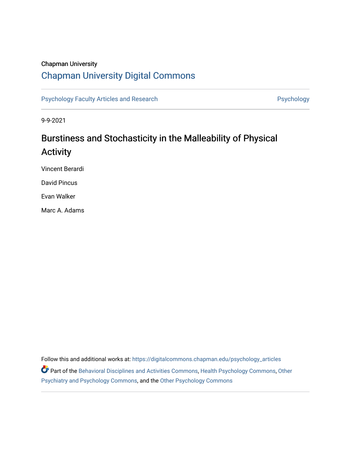# Chapman University

# [Chapman University Digital Commons](https://digitalcommons.chapman.edu/)

[Psychology Faculty Articles and Research](https://digitalcommons.chapman.edu/psychology_articles) **Psychology** Psychology

9-9-2021

# Burstiness and Stochasticity in the Malleability of Physical Activity

Vincent Berardi

David Pincus

Evan Walker

Marc A. Adams

Follow this and additional works at: [https://digitalcommons.chapman.edu/psychology\\_articles](https://digitalcommons.chapman.edu/psychology_articles?utm_source=digitalcommons.chapman.edu%2Fpsychology_articles%2F274&utm_medium=PDF&utm_campaign=PDFCoverPages) Part of the [Behavioral Disciplines and Activities Commons](http://network.bepress.com/hgg/discipline/980?utm_source=digitalcommons.chapman.edu%2Fpsychology_articles%2F274&utm_medium=PDF&utm_campaign=PDFCoverPages), [Health Psychology Commons](http://network.bepress.com/hgg/discipline/411?utm_source=digitalcommons.chapman.edu%2Fpsychology_articles%2F274&utm_medium=PDF&utm_campaign=PDFCoverPages), [Other](http://network.bepress.com/hgg/discipline/992?utm_source=digitalcommons.chapman.edu%2Fpsychology_articles%2F274&utm_medium=PDF&utm_campaign=PDFCoverPages)  [Psychiatry and Psychology Commons](http://network.bepress.com/hgg/discipline/992?utm_source=digitalcommons.chapman.edu%2Fpsychology_articles%2F274&utm_medium=PDF&utm_campaign=PDFCoverPages), and the [Other Psychology Commons](http://network.bepress.com/hgg/discipline/415?utm_source=digitalcommons.chapman.edu%2Fpsychology_articles%2F274&utm_medium=PDF&utm_campaign=PDFCoverPages)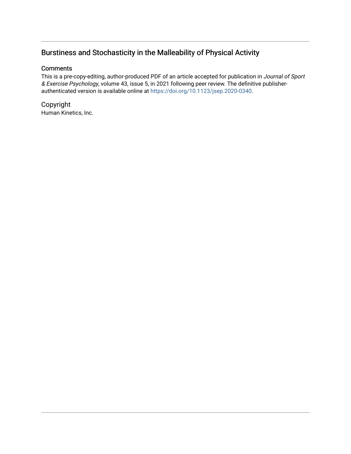# Burstiness and Stochasticity in the Malleability of Physical Activity

# **Comments**

This is a pre-copy-editing, author-produced PDF of an article accepted for publication in Journal of Sport & Exercise Psychology, volume 43, issue 5, in 2021 following peer review. The definitive publisherauthenticated version is available online at <https://doi.org/10.1123/jsep.2020-0340>.

Copyright Human Kinetics, Inc.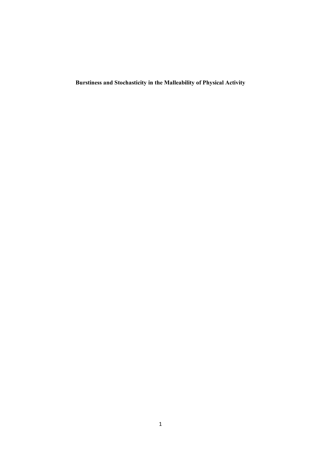**Burstiness and Stochasticity in the Malleability of Physical Activity**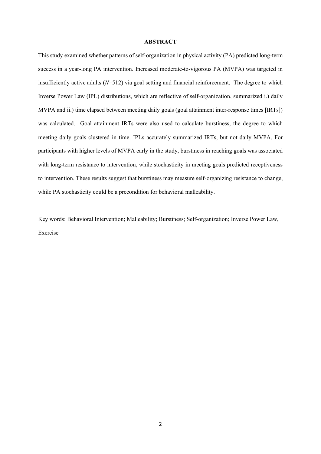#### **ABSTRACT**

This study examined whether patterns of self-organization in physical activity (PA) predicted long-term success in a year-long PA intervention. Increased moderate-to-vigorous PA (MVPA) was targeted in insufficiently active adults  $(N=512)$  via goal setting and financial reinforcement. The degree to which Inverse Power Law (IPL) distributions, which are reflective of self-organization, summarized i.) daily MVPA and ii.) time elapsed between meeting daily goals (goal attainment inter-response times [IRTs]) was calculated. Goal attainment IRTs were also used to calculate burstiness, the degree to which meeting daily goals clustered in time. IPLs accurately summarized IRTs, but not daily MVPA. For participants with higher levels of MVPA early in the study, burstiness in reaching goals was associated with long-term resistance to intervention, while stochasticity in meeting goals predicted receptiveness to intervention. These results suggest that burstiness may measure self-organizing resistance to change, while PA stochasticity could be a precondition for behavioral malleability.

Key words: Behavioral Intervention; Malleability; Burstiness; Self-organization; Inverse Power Law, Exercise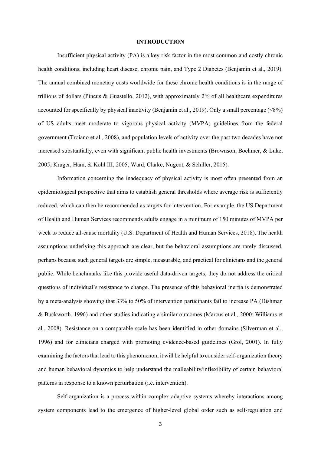#### **INTRODUCTION**

Insufficient physical activity (PA) is a key risk factor in the most common and costly chronic health conditions, including heart disease, chronic pain, and Type 2 Diabetes (Benjamin et al., 2019). The annual combined monetary costs worldwide for these chronic health conditions is in the range of trillions of dollars (Pincus & Guastello, 2012), with approximately 2% of all healthcare expenditures accounted for specifically by physical inactivity (Benjamin et al., 2019). Only a small percentage  $(\leq 8\%)$ of US adults meet moderate to vigorous physical activity (MVPA) guidelines from the federal government (Troiano et al., 2008), and population levels of activity over the past two decades have not increased substantially, even with significant public health investments (Brownson, Boehmer, & Luke, 2005; Kruger, Ham, & Kohl III, 2005; Ward, Clarke, Nugent, & Schiller, 2015).

Information concerning the inadequacy of physical activity is most often presented from an epidemiological perspective that aims to establish general thresholds where average risk is sufficiently reduced, which can then be recommended as targets for intervention. For example, the US Department of Health and Human Services recommends adults engage in a minimum of 150 minutes of MVPA per week to reduce all-cause mortality (U.S. Department of Health and Human Services, 2018). The health assumptions underlying this approach are clear, but the behavioral assumptions are rarely discussed, perhaps because such general targets are simple, measurable, and practical for clinicians and the general public. While benchmarks like this provide useful data-driven targets, they do not address the critical questions of individual's resistance to change. The presence of this behavioral inertia is demonstrated by a meta-analysis showing that 33% to 50% of intervention participants fail to increase PA (Dishman & Buckworth, 1996) and other studies indicating a similar outcomes (Marcus et al., 2000; Williams et al., 2008). Resistance on a comparable scale has been identified in other domains (Silverman et al., 1996) and for clinicians charged with promoting evidence-based guidelines (Grol, 2001). In fully examining the factors that lead to this phenomenon, it will be helpful to consider self-organization theory and human behavioral dynamics to help understand the malleability/inflexibility of certain behavioral patterns in response to a known perturbation (i.e. intervention).

Self-organization is a process within complex adaptive systems whereby interactions among system components lead to the emergence of higher-level global order such as self-regulation and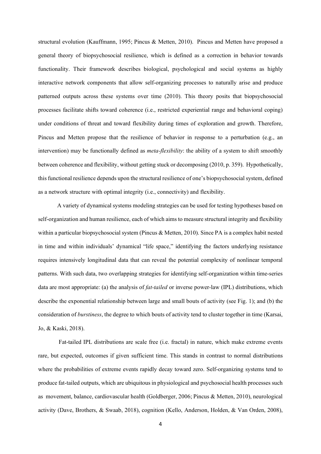structural evolution (Kauffmann, 1995; Pincus & Metten, 2010). Pincus and Metten have proposed a general theory of biopsychosocial resilience, which is defined as a correction in behavior towards functionality. Their framework describes biological, psychological and social systems as highly interactive network components that allow self-organizing processes to naturally arise and produce patterned outputs across these systems over time (2010). This theory posits that biopsychosocial processes facilitate shifts toward coherence (i.e., restricted experiential range and behavioral coping) under conditions of threat and toward flexibility during times of exploration and growth. Therefore, Pincus and Metten propose that the resilience of behavior in response to a perturbation (e.g., an intervention) may be functionally defined as *meta-flexibility*: the ability of a system to shift smoothly between coherence and flexibility, without getting stuck or decomposing (2010, p. 359). Hypothetically, this functional resilience depends upon the structural resilience of one's biopsychosocial system, defined as a network structure with optimal integrity (i.e., connectivity) and flexibility.

A variety of dynamical systems modeling strategies can be used for testing hypotheses based on self-organization and human resilience, each of which aimsto measure structural integrity and flexibility within a particular biopsychosocial system (Pincus & Metten, 2010). Since PA is a complex habit nested in time and within individuals' dynamical "life space," identifying the factors underlying resistance requires intensively longitudinal data that can reveal the potential complexity of nonlinear temporal patterns. With such data, two overlapping strategies for identifying self-organization within time-series data are most appropriate: (a) the analysis of *fat-tailed* or inverse power-law (IPL) distributions, which describe the exponential relationship between large and small bouts of activity (see Fig. 1); and (b) the consideration of *burstiness*, the degree to which bouts of activity tend to cluster together in time (Karsai, Jo, & Kaski, 2018).

Fat-tailed IPL distributions are scale free (i.e. fractal) in nature, which make extreme events rare, but expected, outcomes if given sufficient time. This stands in contrast to normal distributions where the probabilities of extreme events rapidly decay toward zero. Self-organizing systems tend to produce fat-tailed outputs, which are ubiquitous in physiological and psychosocial health processes such as movement, balance, cardiovascular health (Goldberger, 2006; Pincus & Metten, 2010), neurological activity (Dave, Brothers, & Swaab, 2018), cognition (Kello, Anderson, Holden, & Van Orden, 2008),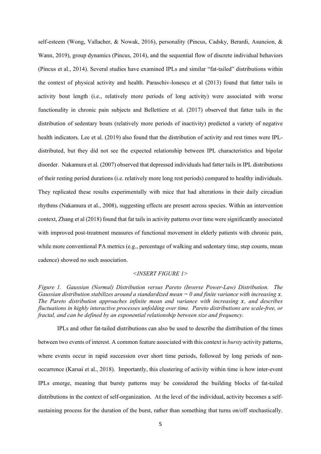self-esteem (Wong, Vallacher, & Nowak, 2016), personality (Pincus, Cadsky, Berardi, Asuncion, & Wann, 2019), group dynamics (Pincus, 2014), and the sequential flow of discrete individual behaviors (Pincus et al., 2014). Several studies have examined IPLs and similar "fat-tailed" distributions within the context of physical activity and health. Paraschiv-Ionescu et al (2013) found that fatter tails in activity bout length (i.e., relatively more periods of long activity) were associated with worse functionality in chronic pain subjects and Bellettiere et al. (2017) observed that fatter tails in the distribution of sedentary bouts (relatively more periods of inactivity) predicted a variety of negative health indicators. Lee et al. (2019) also found that the distribution of activity and rest times were IPLdistributed, but they did not see the expected relationship between IPL characteristics and bipolar disorder. Nakamura et al. (2007) observed that depressed individuals had fatter tails in IPL distributions of their resting period durations (i.e. relatively more long rest periods) compared to healthy individuals. They replicated these results experimentally with mice that had alterations in their daily circadian rhythms (Nakamura et al., 2008), suggesting effects are present across species. Within an intervention context, Zhang et al (2018) found that fat tails in activity patterns over time were significantly associated with improved post-treatment measures of functional movement in elderly patients with chronic pain, while more conventional PA metrics (e.g., percentage of walking and sedentary time, step counts, mean cadence) showed no such association.

#### *<INSERT FIGURE 1>*

*Figure 1. Gaussian (Normal) Distribution versus Pareto (Inverse Power-Law) Distribution. The Gaussian distribution stabilizes around a standardized mean = 0 and finite variance with increasing . The Pareto distribution approaches infinite mean and variance with increasing , and describes fluctuations in highly interactive processes unfolding over time. Pareto distributions are scale-free, or fractal, and can be defined by an exponential relationship between size and frequency.* 

IPLs and other fat-tailed distributions can also be used to describe the distribution of the times between two events of interest. A common feature associated with this context is *bursty* activity patterns, where events occur in rapid succession over short time periods, followed by long periods of nonoccurrence (Karsai et al., 2018). Importantly, this clustering of activity within time is how inter-event IPLs emerge, meaning that bursty patterns may be considered the building blocks of fat-tailed distributions in the context of self-organization. At the level of the individual, activity becomes a selfsustaining process for the duration of the burst, rather than something that turns on/off stochastically.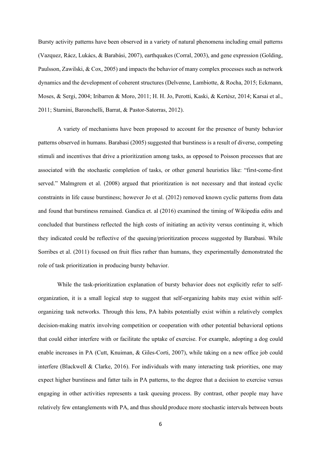Bursty activity patterns have been observed in a variety of natural phenomena including email patterns (Vazquez, Rácz, Lukács, & Barabási, 2007), earthquakes (Corral, 2003), and gene expression (Golding, Paulsson, Zawilski, & Cox, 2005) and impacts the behavior of many complex processes such as network dynamics and the development of coherent structures (Delvenne, Lambiotte, & Rocha, 2015; Eckmann, Moses, & Sergi, 2004; Iribarren & Moro, 2011; H. H. Jo, Perotti, Kaski, & Kertész, 2014; Karsai et al., 2011; Starnini, Baronchelli, Barrat, & Pastor-Satorras, 2012).

A variety of mechanisms have been proposed to account for the presence of bursty behavior patterns observed in humans. Barabasi (2005) suggested that burstiness is a result of diverse, competing stimuli and incentives that drive a prioritization among tasks, as opposed to Poisson processes that are associated with the stochastic completion of tasks, or other general heuristics like: "first-come-first served." Malmgrem et al. (2008) argued that prioritization is not necessary and that instead cyclic constraints in life cause burstiness; however Jo et al. (2012) removed known cyclic patterns from data and found that burstiness remained. Gandica et. al (2016) examined the timing of Wikipedia edits and concluded that burstiness reflected the high costs of initiating an activity versus continuing it, which they indicated could be reflective of the queuing/prioritization process suggested by Barabasi. While Sorribes et al. (2011) focused on fruit flies rather than humans, they experimentally demonstrated the role of task prioritization in producing bursty behavior.

While the task-prioritization explanation of bursty behavior does not explicitly refer to selforganization, it is a small logical step to suggest that self-organizing habits may exist within selforganizing task networks. Through this lens, PA habits potentially exist within a relatively complex decision-making matrix involving competition or cooperation with other potential behavioral options that could either interfere with or facilitate the uptake of exercise. For example, adopting a dog could enable increases in PA (Cutt, Knuiman, & Giles-Corti, 2007), while taking on a new office job could interfere (Blackwell & Clarke, 2016). For individuals with many interacting task priorities, one may expect higher burstiness and fatter tails in PA patterns, to the degree that a decision to exercise versus engaging in other activities represents a task queuing process. By contrast, other people may have relatively few entanglements with PA, and thus should produce more stochastic intervals between bouts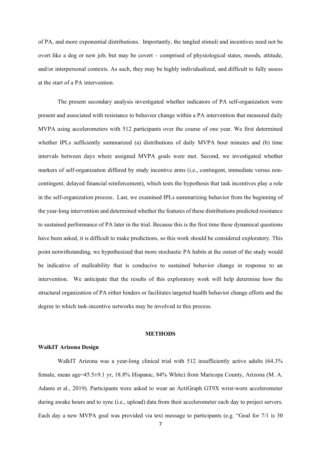of PA, and more exponential distributions. Importantly, the tangled stimuli and incentives need not be overt like a dog or new job, but may be covert – comprised of physiological states, moods, attitude, and/or interpersonal contexts. As such, they may be highly individualized, and difficult to fully assess at the start of a PA intervention.

The present secondary analysis investigated whether indicators of PA self-organization were present and associated with resistance to behavior change within a PA intervention that measured daily MVPA using accelerometers with 512 participants over the course of one year. We first determined whether IPLs sufficiently summarized (a) distributions of daily MVPA bout minutes and (b) time intervals between days where assigned MVPA goals were met. Second, we investigated whether markers of self-organization differed by study incentive arms (i.e., contingent, immediate versus noncontingent, delayed financial reinforcement), which tests the hypothesis that task incentives play a role in the self-organization process. Last, we examined IPLs summarizing behavior from the beginning of the year-long intervention and determined whether the features of these distributions predicted resistance to sustained performance of PA later in the trial. Because this is the first time these dynamical questions have been asked, it is difficult to make predictions, so this work should be considered exploratory. This point notwithstanding, we hypothesized that more stochastic PA habits at the outset of the study would be indicative of malleability that is conducive to sustained behavior change in response to an intervention. We anticipate that the results of this exploratory work will help determine how the structural organization of PA either hinders or facilitates targeted health behavior change efforts and the degree to which task-incentive networks may be involved in this process.

#### **METHODS**

#### **WalkIT Arizona Design**

WalkIT Arizona was a year-long clinical trial with 512 insufficiently active adults (64.3%) female, mean age=45.5±9.1 yr, 18.8% Hispanic, 84% White) from Maricopa County, Arizona (M. A. Adams et al., 2019). Participants were asked to wear an ActiGraph GT9X wrist-worn accelerometer during awake hours and to sync (i.e., upload) data from their accelerometer each day to project servers. Each day a new MVPA goal was provided via text message to participants (e.g. "Goal for 7/1 is 30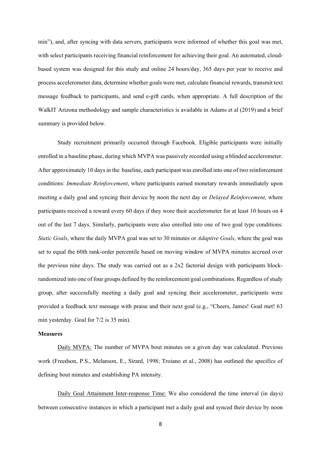min"), and, after syncing with data servers, participants were informed of whether this goal was met, with select participants receiving financial reinforcement for achieving their goal. An automated, cloudbased system was designed for this study and online 24 hours/day, 365 days per year to receive and process accelerometer data, determine whether goals were met, calculate financial rewards, transmit text message feedback to participants, and send e-gift cards, when appropriate. A full description of the WalkIT Arizona methodology and sample characteristics is available in Adams et al (2019) and a brief summary is provided below.

Study recruitment primarily occurred through Facebook. Eligible participants were initially enrolled in a baseline phase, during which MVPA was passively recorded using a blinded accelerometer. After approximately 10 days in the baseline, each participant was enrolled into one of two reinforcement conditions: *Immediate Reinforcement*, where participants earned monetary rewards immediately upon meeting a daily goal and syncing their device by noon the next day or *Delayed Reinforcement*, where participants received a reward every 60 days if they wore their accelerometer for at least 10 hours on 4 out of the last 7 days. Similarly, participants were also enrolled into one of two goal type conditions: *Static Goals*, where the daily MVPA goal was set to 30 minutes or *Adaptive Goals*, where the goal was set to equal the 60th rank-order percentile based on moving window of MVPA minutes accrued over the previous nine days. The study was carried out as a 2x2 factorial design with participants blockrandomized into one of four groups defined by the reinforcement/goal combinations. Regardless of study group, after successfully meeting a daily goal and syncing their accelerometer, participants were provided a feedback text message with praise and their next goal (e.g., "Cheers, James! Goal met! 63 min yesterday. Goal for 7/2 is 35 min).

#### **Measures**

Daily MVPA: The number of MVPA bout minutes on a given day was calculated. Previous work (Freedson, P.S., Melanson, E., Sirard, 1998; Troiano et al., 2008) has outlined the specifics of defining bout minutes and establishing PA intensity.

Daily Goal Attainment Inter-response Time: We also considered the time interval (in days) between consecutive instances in which a participant met a daily goal and synced their device by noon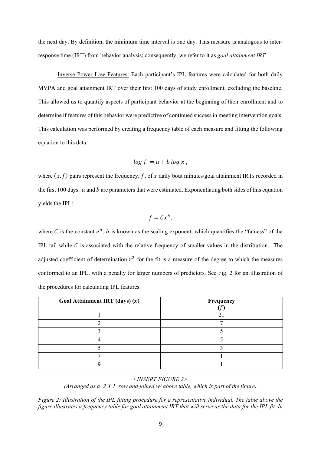the next day. By definition, the minimum time interval is one day. This measure is analogous to interresponse time (IRT) from behavior analysis; consequently, we refer to it as *goal attainment IRT.*

Inverse Power Law Features: Each participant's IPL features were calculated for both daily MVPA and goal attainment IRT over their first 100 days of study enrollment, excluding the baseline. This allowed us to quantify aspects of participant behavior at the beginning of their enrollment and to determine if features of this behavior were predictive of continued success in meeting intervention goals. This calculation was performed by creating a frequency table of each measure and fitting the following equation to this data:

$$
log f = a + b log x,
$$

where  $(x, f)$  pairs represent the frequency, f, of x daily bout minutes/goal attainment IRTs recorded in the first 100 days.  $a$  and  $b$  are parameters that were estimated. Exponentiating both sides of this equation yields the IPL:

$$
f=Cx^b,
$$

where C is the constant  $e^a$ . *b* is known as the scaling exponent, which quantifies the "fatness" of the IPL tail while  $C$  is associated with the relative frequency of smaller values in the distribution. The adjusted coefficient of determination  $r^2$  for the fit is a measure of the degree to which the measures conformed to an IPL, with a penalty for larger numbers of predictors. See Fig. 2 for an illustration of the procedures for calculating IPL features.

| Goal Attainment IRT (days) $(x)$ | Frequency |
|----------------------------------|-----------|
|                                  |           |
|                                  |           |
|                                  |           |
|                                  |           |
|                                  |           |
|                                  |           |
|                                  |           |

*<INSERT FIGURE 2> (Arranged as a 2 X 1 row and joined w/ above table, which is part of the figure)*

*Figure 2: Illustration of the IPL fitting procedure for a representative individual. The table above the figure illustrates a frequency table for goal attainment IRT that will serve as the data for the IPL fit. In*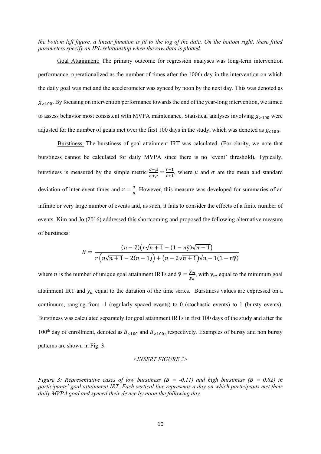*the bottom left figure, a linear function is fit to the log of the data. On the bottom right, these fitted parameters specify an IPL relationship when the raw data is plotted.* 

Goal Attainment: The primary outcome for regression analyses was long-term intervention performance, operationalized as the number of times after the 100th day in the intervention on which the daily goal was met and the accelerometer was synced by noon by the next day. This was denoted as  $g_{>100}$ . By focusing on intervention performance towards the end of the year-long intervention, we aimed to assess behavior most consistent with MVPA maintenance. Statistical analyses involving  $g_{>100}$  were adjusted for the number of goals met over the first 100 days in the study, which was denoted as  $g_{\leq 100}$ .

Burstiness: The burstiness of goal attainment IRT was calculated. (For clarity, we note that burstiness cannot be calculated for daily MVPA since there is no 'event' threshold). Typically, burstiness is measured by the simple metric  $\frac{\sigma-\mu}{\sigma+\mu} = \frac{r-1}{r+1}$ , where  $\mu$  and  $\sigma$  are the mean and standard deviation of inter-event times and  $r = \frac{\sigma}{\mu}$ . However, this measure was developed for summaries of an infinite or very large number of events and, as such, it fails to consider the effects of a finite number of events. Kim and Jo (2016) addressed this shortcoming and proposed the following alternative measure of burstiness:

$$
B = \frac{(n-2)(r\sqrt{n+1} - (1-n\bar{y})\sqrt{n-1})}{r(n\sqrt{n+1} - 2(n-1)) + (n-2\sqrt{n+1})\sqrt{n-1}(1-n\bar{y})}
$$

where *n* is the number of unique goal attainment IRTs and  $\bar{y} = \frac{y_m}{y_d}$ , with  $y_m$  equal to the minimum goal attainment IRT and  $y_d$  equal to the duration of the time series. Burstiness values are expressed on a continuum, ranging from -1 (regularly spaced events) to 0 (stochastic events) to 1 (bursty events). Burstiness was calculated separately for goal attainment IRTs in first 100 days of the study and after the 100<sup>th</sup> day of enrollment, denoted as  $B_{\leq 100}$  and  $B_{>100}$ , respectively. Examples of bursty and non bursty patterns are shown in Fig. 3.

*<INSERT FIGURE 3>*

*Figure 3: Representative cases of low burstiness (B = -0.11) and high burstiness (B = 0.82) in participants' goal attainment IRT. Each vertical line represents a day on which participants met their daily MVPA goal and synced their device by noon the following day.*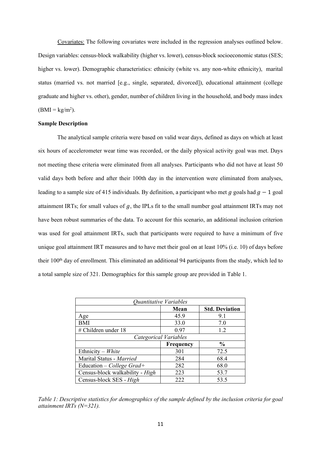Covariates: The following covariates were included in the regression analyses outlined below. Design variables: census-block walkability (higher vs. lower), census-block socioeconomic status (SES; higher vs. lower). Demographic characteristics: ethnicity (white vs. any non-white ethnicity), marital status (married vs. not married [e.g., single, separated, divorced]), educational attainment (college graduate and higher vs. other), gender, number of children living in the household, and body mass index  $(BMI = kg/m<sup>2</sup>).$ 

#### **Sample Description**

The analytical sample criteria were based on valid wear days, defined as days on which at least six hours of accelerometer wear time was recorded, or the daily physical activity goal was met. Days not meeting these criteria were eliminated from all analyses. Participants who did not have at least 50 valid days both before and after their 100th day in the intervention were eliminated from analyses, leading to a sample size of 415 individuals. By definition, a participant who met q goals had  $q - 1$  goal attainment IRTs; for small values of  $q$ , the IPLs fit to the small number goal attainment IRTs may not have been robust summaries of the data. To account for this scenario, an additional inclusion criterion was used for goal attainment IRTs, such that participants were required to have a minimum of five unique goal attainment IRT measures and to have met their goal on at least 10% (i.e. 10) of days before their 100<sup>th</sup> day of enrollment. This eliminated an additional 94 participants from the study, which led to a total sample size of 321. Demographics for this sample group are provided in Table 1.

| Quantitative Variables          |                  |                       |  |  |  |  |
|---------------------------------|------------------|-----------------------|--|--|--|--|
|                                 | Mean             | <b>Std. Deviation</b> |  |  |  |  |
| Age                             | 45.9             | 9.1                   |  |  |  |  |
| <b>BMI</b>                      | 33.0             | 7.0                   |  |  |  |  |
| # Children under 18             | 0.97             | 1.2                   |  |  |  |  |
| Categorical Variables           |                  |                       |  |  |  |  |
|                                 | <b>Frequency</b> | $\frac{0}{0}$         |  |  |  |  |
| Ethnicity – White               | 301              | 72.5                  |  |  |  |  |
| Marital Status - Married        | 284              | 68.4                  |  |  |  |  |
| Education – College Grad+       | 282              | 68.0                  |  |  |  |  |
| Census-block walkability - High | 223              | 53.7                  |  |  |  |  |
| Census-block SES - High         | 222              | 53.5                  |  |  |  |  |

*Table 1: Descriptive statistics for demographics of the sample defined by the inclusion criteria for goal attainment IRTs (N=321).*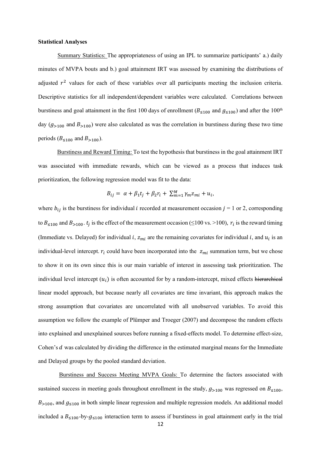#### **Statistical Analyses**

Summary Statistics: The appropriateness of using an IPL to summarize participants' a.) daily minutes of MVPA bouts and b.) goal attainment IRT was assessed by examining the distributions of adjusted  $r^2$  values for each of these variables over all participants meeting the inclusion criteria. Descriptive statistics for all independent/dependent variables were calculated. Correlations between burstiness and goal attainment in the first 100 days of enrollment ( $B_{\leq 100}$  and  $g_{\leq 100}$ ) and after the 100<sup>th</sup> day  $(g_{>100}$  and  $B_{>100}$ ) were also calculated as was the correlation in burstiness during these two time periods ( $B_{\leq 100}$  and  $B_{>100}$ ).

Burstiness and Reward Timing: To test the hypothesis that burstiness in the goal attainment IRT was associated with immediate rewards, which can be viewed as a process that induces task prioritization, the following regression model was fit to the data:

$$
B_{ij} = \alpha + \beta_1 t_j + \beta_2 r_i + \sum_{m=1}^M \gamma_m z_{mi} + u_i,
$$

where  $b_{ij}$  is the burstiness for individual *i* recorded at measurement occasion  $j = 1$  or 2, corresponding to  $B_{\leq 100}$  and  $B_{>100}$ .  $t_j$  is the effect of the measurement occasion ( $\leq 100$  vs. >100),  $r_i$  is the reward timing (Immediate vs. Delayed) for individual *i*,  $z_{mi}$  are the remaining covariates for individual *i*, and  $u_i$  is an individual-level intercept.  $r_i$  could have been incorporated into the  $z_{mi}$  summation term, but we chose to show it on its own since this is our main variable of interest in assessing task prioritization. The individual level intercept  $(u_i)$  is often accounted for by a random-intercept, mixed effects hierarchical linear model approach, but because nearly all covariates are time invariant, this approach makes the strong assumption that covariates are uncorrelated with all unobserved variables. To avoid this assumption we follow the example of Plümper and Troeger (2007) and decompose the random effects into explained and unexplained sources before running a fixed-effects model. To determine effect-size, Cohen's  $d$  was calculated by dividing the difference in the estimated marginal means for the Immediate and Delayed groups by the pooled standard deviation.

Burstiness and Success Meeting MVPA Goals: To determine the factors associated with sustained success in meeting goals throughout enrollment in the study,  $g_{>100}$  was regressed on  $B_{\leq 100}$ ,  $B_{>100}$ , and  $g_{\leq 100}$  in both simple linear regression and multiple regression models. An additional model included a  $B_{\leq 100}$ -by- $g_{\leq 100}$  interaction term to assess if burstiness in goal attainment early in the trial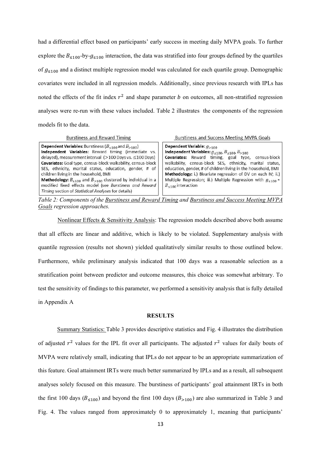had a differential effect based on participants' early success in meeting daily MVPA goals. To further explore the  $B_{\leq 100}$ -by- $g_{\leq 100}$  interaction, the data was stratified into four groups defined by the quartiles of  $g_{\leq 100}$  and a distinct multiple regression model was calculated for each quartile group. Demographic covariates were included in all regression models. Additionally, since previous research with IPLs has noted the effects of the fit index  $r^2$  and shape parameter b on outcomes, all non-stratified regression analyses were re-run with these values included. Table 2 illustrates the components of the regression models fit to the data.

**Burstiness and Reward Timing** 

Burstiness and Success Meeting MVPA Goals

*Table 2: Components of the Burstiness and Reward Timing and Burstiness and Success Meeting MVPA Goals regression approaches.* 

Nonlinear Effects & Sensitivity Analysis: The regression models described above both assume that all effects are linear and additive, which is likely to be violated. Supplementary analysis with quantile regression (results not shown) yielded qualitatively similar results to those outlined below. Furthermore, while preliminary analysis indicated that 100 days was a reasonable selection as a stratification point between predictor and outcome measures, this choice was somewhat arbitrary. To test the sensitivity of findings to this parameter, we performed a sensitivity analysis that is fully detailed in Appendix A

#### **RESULTS**

Summary Statistics: Table 3 provides descriptive statistics and Fig. 4 illustrates the distribution of adjusted  $r^2$  values for the IPL fit over all participants. The adjusted  $r^2$  values for daily bouts of MVPA were relatively small, indicating that IPLs do not appear to be an appropriate summarization of this feature. Goal attainment IRTs were much better summarized by IPLs and as a result, all subsequent analyses solely focused on this measure. The burstiness of participants' goal attainment IRTs in both the first 100 days ( $B_{\leq 100}$ ) and beyond the first 100 days ( $B_{>100}$ ) are also summarized in Table 3 and Fig. 4. The values ranged from approximately 0 to approximately 1, meaning that participants'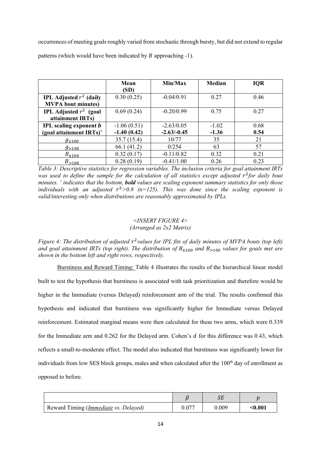occurrences of meeting goals roughly varied from stochastic through bursty, but did not extend to regular patterns (which would have been indicated by  $B$  approaching  $-1$ ).

|                                        | Mean          | Min/Max       | <b>Median</b> | <b>IQR</b> |  |
|----------------------------------------|---------------|---------------|---------------|------------|--|
|                                        | (SD)          |               |               |            |  |
| <b>IPL Adjusted</b> $r^2$ (daily       | 0.30(0.25)    | $-0.04/0.91$  | 0.27          | 0.46       |  |
| <b>MVPA</b> bout minutes)              |               |               |               |            |  |
| <b>IPL</b> Adjusted $r^2$ (goal        | 0.69(0.24)    | $-0.20/0.99$  | 0.75          | 0.27       |  |
| attainment IRTs)                       |               |               |               |            |  |
| <b>IPL</b> scaling exponent <i>b</i>   | $-1.06(0.51)$ | $-2.63/0.05$  | $-1.02$       | 0.68       |  |
| (goal attainment $IRTs$ ) <sup>+</sup> | $-1.40(0.42)$ | $-2.63/-0.45$ | $-1.36$       | 0.54       |  |
| $g_{\leq 100}$                         | 35.7(15.4)    | 10/77         | 35            | 21         |  |
| $g_{>100}$                             | 66.1(41.2)    | 0/254         | 63            | 57         |  |
| $B_{\leq 100}$                         | 0.32(0.17)    | $-0.11/0.82$  | 0.32          | 0.21       |  |
| $B_{>100}$                             | 0.28(0.19)    | $-0.41/1.00$  | 0.26          | 0.23       |  |

*Table 3: Descriptive statistics for regression variables. The inclusion criteria for goal attainment IRTs was used to define the sample for the calculation of all statistics except adjusted*  $r^2$  *for daily bout minutes. + indicates that the bottom, bold values are scaling exponent summary statistics for only those individuals with an adjusted*  $r^2 > 0.8$  ( $n = 125$ ). This was done since the scaling exponent is *valid/interesting only when distributions are reasonably approximated by IPLs.*

## *<INSERT FIGURE 4> (Arranged as 2x2 Matrix)*

*Figure 4: The distribution of adjusted r<sup>2</sup> values for IPL fits of daily minutes of MVPA bouts (top left) and goal attainment IRTs (top right). The distribution of B*≤100 *and B*>100 *values for goals met are shown in the bottom left and right rows, respectively.* 

Burstiness and Reward Timing: Table 4 illustrates the results of the hierarchical linear model built to test the hypothesis that burstiness is associated with task prioritization and therefore would be higher in the Immediate (versus Delayed) reinforcement arm of the trial. The results confirmed this hypothesis and indicated that burstiness was significantly higher for Immediate versus Delayed reinforcement. Estimated marginal means were then calculated for these two arms, which were 0.339 for the Immediate arm and  $0.262$  for the Delayed arm. Cohen's  $d$  for this difference was  $0.43$ , which reflects a small-to-moderate effect. The model also indicated that burstiness was significantly lower for individuals from low SES block groups, males and when calculated after the  $100<sup>th</sup>$  day of enrollment as opposed to before.

| Reward Timing ( <i>Immediate vs. Delayed</i> ) | $0.07^{-}$ | 0.009 | <0.001 |
|------------------------------------------------|------------|-------|--------|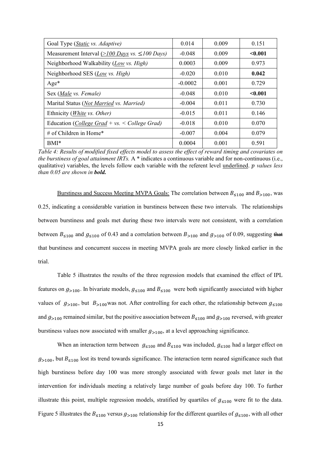| Goal Type (Static vs. Adaptive)                        | 0.014     | 0.009 | 0.151   |
|--------------------------------------------------------|-----------|-------|---------|
| Measurement Interval $(>100$ Days vs. $\leq 100$ Days) | $-0.048$  | 0.009 | < 0.001 |
| Neighborhood Walkability (Low vs. High)                | 0.0003    | 0.009 | 0.973   |
| Neighborhood SES (Low vs. High)                        | $-0.020$  | 0.010 | 0.042   |
| $Age*$                                                 | $-0.0002$ | 0.001 | 0.729   |
| Sex (Male vs. Female)                                  | $-0.048$  | 0.010 | < 0.001 |
| Marital Status (Not Married vs. Married)               | $-0.004$  | 0.011 | 0.730   |
| Ethnicity ( <i>White vs. Other</i> )                   | $-0.015$  | 0.011 | 0.146   |
| Education (College Grad + vs. < College Grad)          | $-0.018$  | 0.010 | 0.070   |
| # of Children in Home*                                 | $-0.007$  | 0.004 | 0.079   |
| $BMI^*$                                                | 0.0004    | 0.001 | 0.591   |

*Table 4: Results of modified fixed effects model to assess the effect of reward timing and covariates on the burstiness of goal attainment IRTs.* A \* indicates a continuous variable and for non-continuous (i.e., qualitative) variables, the levels follow each variable with the referent level underlined. *values less than 0.05 are shown in bold.* 

Burstiness and Success Meeting MVPA Goals: The correlation between  $B_{\leq 100}$  and  $B_{>100}$ , was 0.25, indicating a considerable variation in burstiness between these two intervals. The relationships between burstiness and goals met during these two intervals were not consistent, with a correlation between  $B_{\leq 100}$  and  $g_{\leq 100}$  of 0.43 and a correlation between  $B_{>100}$  and  $g_{>100}$  of 0.09, suggesting that that burstiness and concurrent success in meeting MVPA goals are more closely linked earlier in the trial.

Table 5 illustrates the results of the three regression models that examined the effect of IPL features on  $g_{>100}$ . In bivariate models,  $g_{\leq 100}$  and  $B_{\leq 100}$  were both significantly associated with higher values of  $g_{>100}$ , but  $B_{>100}$  was not. After controlling for each other, the relationship between  $g_{\leq 100}$ and  $g_{>100}$  remained similar, but the positive association between  $B_{\leq 100}$  and  $g_{>100}$  reversed, with greater burstiness values now associated with smaller  $g_{>100}$ , at a level approaching significance.

When an interaction term between  $g_{\leq 100}$  and  $B_{\leq 100}$  was included,  $g_{\leq 100}$  had a larger effect on  $g_{>100}$ , but  $B_{\leq100}$  lost its trend towards significance. The interaction term neared significance such that high burstiness before day 100 was more strongly associated with fewer goals met later in the intervention for individuals meeting a relatively large number of goals before day 100. To further illustrate this point, multiple regression models, stratified by quartiles of  $g_{\leq 100}$  were fit to the data. Figure 5 illustrates the  $B_{\leq 100}$  versus  $g_{>100}$  relationship for the different quartiles of  $g_{\leq 100}$ , with all other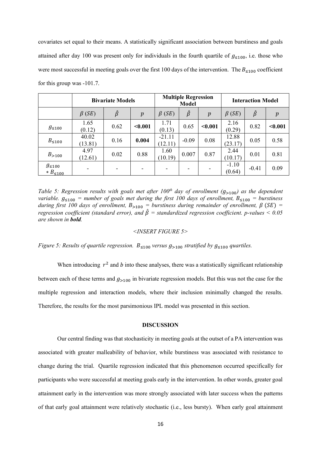covariates set equal to their means. A statistically significant association between burstiness and goals attained after day 100 was present only for individuals in the fourth quartile of  $g_{\leq 100}$ , i.e. those who were most successful in meeting goals over the first 100 days of the intervention. The  $B_{\leq 100}$  coefficient for this group was -101.7.

|                                         | <b>Bivariate Models</b> |                          | <b>Multiple Regression</b><br><b>Model</b> |                          | <b>Interaction Model</b> |                          |                   |               |                  |
|-----------------------------------------|-------------------------|--------------------------|--------------------------------------------|--------------------------|--------------------------|--------------------------|-------------------|---------------|------------------|
|                                         | $\beta$ (SE)            | $\hat{\beta}$            | $\boldsymbol{p}$                           | $\beta$ (SE)             | $\hat{\beta}$            | $\boldsymbol{p}$         | $\beta$ (SE)      | $\hat{\beta}$ | $\boldsymbol{p}$ |
| $g_{\leq 100}$                          | 1.65<br>(0.12)          | 0.62                     | < 0.001                                    | 1.71<br>(0.13)           | 0.65                     | < 0.001                  | 2.16<br>(0.29)    | 0.82          | < 0.001          |
| $B_{\leq 100}$                          | 40.02<br>(13.81)        | 0.16                     | 0.004                                      | $-21.11$<br>(12.11)      | $-0.09$                  | 0.08                     | 12.88<br>(23.17)  | 0.05          | 0.58             |
| $B_{>100}$                              | 4.97<br>(12.61)         | 0.02                     | 0.88                                       | 1.60<br>(10.19)          | 0.007                    | 0.87                     | 2.44<br>(10.17)   | 0.01          | 0.81             |
| $g_{\leq 100}$<br>$\ast$ $B_{\leq 100}$ | $\qquad \qquad$         | $\overline{\phantom{0}}$ | $\overline{\phantom{0}}$                   | $\overline{\phantom{a}}$ |                          | $\overline{\phantom{a}}$ | $-1.10$<br>(0.64) | $-0.41$       | 0.09             |

*Table 5: Regression results with goals met after 100<sup>th</sup> day of enrollment (* $g_{>100}$ *) as the dependent variable.*  $g_{\leq 100}$  = number of goals met during the first 100 days of enrollment,  $B_{\leq 100}$  = burstiness *during first 100 days of enrollment,*  $B_{>100}$  = *burstiness during remainder of enrollment,*  $\beta$  (SE) = *regression coefficient (standard error), and*  $\hat{\beta}$  = *standardized regression coefficient. p-values* < 0.05 *are shown in bold.*

#### *<INSERT FIGURE 5>*

*Figure 5: Results of quartile regression.*  $B_{\leq 100}$  *versus*  $g_{>100}$  *stratified by*  $g_{\leq 100}$  *quartiles.* 

When introducing  $r^2$  and  $b$  into these analyses, there was a statistically significant relationship between each of these terms and  $g_{>100}$  in bivariate regression models. But this was not the case for the multiple regression and interaction models, where their inclusion minimally changed the results. Therefore, the results for the most parsimonious IPL model was presented in this section.

#### **DISCUSSION**

Our central finding was that stochasticity in meeting goals at the outset of a PA intervention was associated with greater malleability of behavior, while burstiness was associated with resistance to change during the trial. Quartile regression indicated that this phenomenon occurred specifically for participants who were successful at meeting goals early in the intervention. In other words, greater goal attainment early in the intervention was more strongly associated with later success when the patterns of that early goal attainment were relatively stochastic (i.e., less bursty). When early goal attainment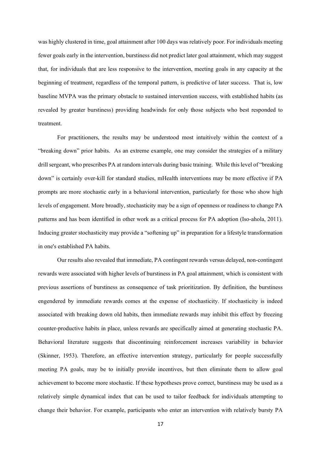was highly clustered in time, goal attainment after 100 days was relatively poor. For individuals meeting fewer goals early in the intervention, burstiness did not predict later goal attainment, which may suggest that, for individuals that are less responsive to the intervention, meeting goals in any capacity at the beginning of treatment, regardless of the temporal pattern, is predictive of later success. That is, low baseline MVPA was the primary obstacle to sustained intervention success, with established habits (as revealed by greater burstiness) providing headwinds for only those subjects who best responded to treatment.

For practitioners, the results may be understood most intuitively within the context of a "breaking down" prior habits. As an extreme example, one may consider the strategies of a military drill sergeant, who prescribes PA at random intervals during basic training. While this level of "breaking down" is certainly over-kill for standard studies, mHealth interventions may be more effective if PA prompts are more stochastic early in a behavioral intervention, particularly for those who show high levels of engagement. More broadly, stochasticity may be a sign of openness or readiness to change PA patterns and has been identified in other work as a critical process for PA adoption (Iso-ahola, 2011). Inducing greater stochasticity may provide a "softening up" in preparation for a lifestyle transformation in one's established PA habits.

Our results also revealed that immediate, PA contingent rewards versus delayed, non-contingent rewards were associated with higher levels of burstiness in PA goal attainment, which is consistent with previous assertions of burstiness as consequence of task prioritization. By definition, the burstiness engendered by immediate rewards comes at the expense of stochasticity. If stochasticity is indeed associated with breaking down old habits, then immediate rewards may inhibit this effect by freezing counter-productive habits in place, unless rewards are specifically aimed at generating stochastic PA. Behavioral literature suggests that discontinuing reinforcement increases variability in behavior (Skinner, 1953). Therefore, an effective intervention strategy, particularly for people successfully meeting PA goals, may be to initially provide incentives, but then eliminate them to allow goal achievement to become more stochastic. If these hypotheses prove correct, burstiness may be used as a relatively simple dynamical index that can be used to tailor feedback for individuals attempting to change their behavior. For example, participants who enter an intervention with relatively bursty PA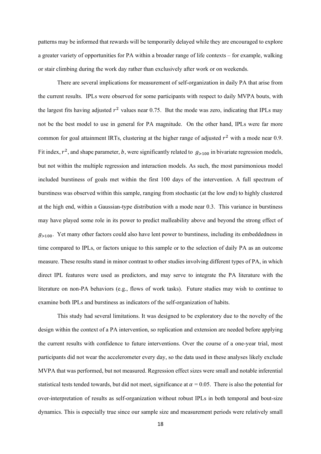patterns may be informed that rewards will be temporarily delayed while they are encouraged to explore a greater variety of opportunities for PA within a broader range of life contexts – for example, walking or stair climbing during the work day rather than exclusively after work or on weekends.

There are several implications for measurement of self-organization in daily PA that arise from the current results. IPLs were observed for some participants with respect to daily MVPA bouts, with the largest fits having adjusted  $r^2$  values near 0.75. But the mode was zero, indicating that IPLs may not be the best model to use in general for PA magnitude. On the other hand, IPLs were far more common for goal attainment IRTs, clustering at the higher range of adjusted  $r^2$  with a mode near 0.9. Fit index,  $r^2$ , and shape parameter, b, were significantly related to  $g_{>100}$  in bivariate regression models, but not within the multiple regression and interaction models. As such, the most parsimonious model included burstiness of goals met within the first 100 days of the intervention. A full spectrum of burstiness was observed within this sample, ranging from stochastic (at the low end) to highly clustered at the high end, within a Gaussian-type distribution with a mode near 0.3. This variance in burstiness may have played some role in its power to predict malleability above and beyond the strong effect of  $g_{\geq 100}$ . Yet many other factors could also have lent power to burstiness, including its embeddedness in time compared to IPLs, or factors unique to this sample or to the selection of daily PA as an outcome measure. These results stand in minor contrast to other studies involving different types of PA, in which direct IPL features were used as predictors, and may serve to integrate the PA literature with the literature on non-PA behaviors (e.g., flows of work tasks). Future studies may wish to continue to examine both IPLs and burstiness as indicators of the self-organization of habits.

This study had several limitations. It was designed to be exploratory due to the novelty of the design within the context of a PA intervention, so replication and extension are needed before applying the current results with confidence to future interventions. Over the course of a one-year trial, most participants did not wear the accelerometer every day, so the data used in these analyses likely exclude MVPA that was performed, but not measured. Regression effect sizes were small and notable inferential statistical tests tended towards, but did not meet, significance at  $\alpha = 0.05$ . There is also the potential for over-interpretation of results as self-organization without robust IPLs in both temporal and bout-size dynamics. This is especially true since our sample size and measurement periods were relatively small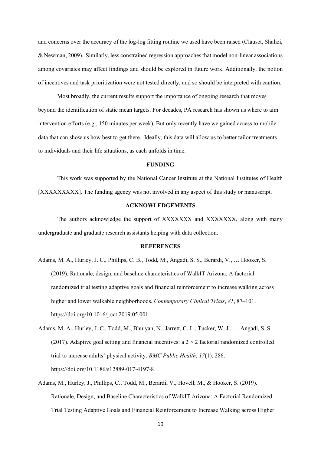and concerns over the accuracy of the log-log fitting routine we used have been raised (Clauset, Shalizi, & Newman, 2009). Similarly, less constrained regression approaches that model non-linear associations among covariates may affect findings and should be explored in future work. Additionally, the notion of incentives and task prioritization were not tested directly, and so should be interpreted with caution.

Most broadly, the current results support the importance of ongoing research that moves beyond the identification of static mean targets. For decades, PA research has shown us where to aim intervention efforts (e.g., 150 minutes per week). But only recently have we gained access to mobile data that can show us how best to get there. Ideally, this data will allow us to better tailor treatments to individuals and their life situations, as each unfolds in time.

#### **FUNDING**

This work was supported by the National Cancer Institute at the National Institutes of Health [XXXXXXXXX]. The funding agency was not involved in any aspect of this study or manuscript.

#### **ACKNOWLEDGEMENTS**

The authors acknowledge the support of XXXXXXX and XXXXXXX, along with many undergraduate and graduate research assistants helping with data collection.

#### **REFERENCES**

- Adams, M. A., Hurley, J. C., Phillips, C. B., Todd, M., Angadi, S. S., Berardi, V., … Hooker, S. (2019). Rationale, design, and baseline characteristics of WalkIT Arizona: A factorial randomized trial testing adaptive goals and financial reinforcement to increase walking across higher and lower walkable neighborhoods. *Contemporary Clinical Trials*, *81*, 87–101. https://doi.org/10.1016/j.cct.2019.05.001
- Adams, M. A., Hurley, J. C., Todd, M., Bhuiyan, N., Jarrett, C. L., Tucker, W. J., … Angadi, S. S. (2017). Adaptive goal setting and financial incentives: a  $2 \times 2$  factorial randomized controlled trial to increase adults' physical activity. *BMC Public Health*, *17*(1), 286. https://doi.org/10.1186/s12889-017-4197-8
- Adams, M., Hurley, J., Phillips, C., Todd, M., Berardi, V., Hovell, M., & Hooker, S. (2019). Rationale, Design, and Baseline Characteristics of WalkIT Arizona: A Factorial Randomized Trial Testing Adaptive Goals and Financial Reinforcement to Increase Walking across Higher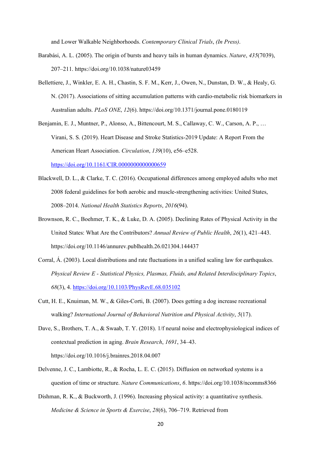and Lower Walkable Neighborhoods. *Contemporary Clinical Trials*, *(In Press)*.

- Barabási, A. L. (2005). The origin of bursts and heavy tails in human dynamics. *Nature*, *435*(7039), 207–211. https://doi.org/10.1038/nature03459
- Bellettiere, J., Winkler, E. A. H., Chastin, S. F. M., Kerr, J., Owen, N., Dunstan, D. W., & Healy, G. N. (2017). Associations of sitting accumulation patterns with cardio-metabolic risk biomarkers in Australian adults. *PLoS ONE*, *12*(6). https://doi.org/10.1371/journal.pone.0180119
- Benjamin, E. J., Muntner, P., Alonso, A., Bittencourt, M. S., Callaway, C. W., Carson, A. P., … Virani, S. S. (2019). Heart Disease and Stroke Statistics-2019 Update: A Report From the American Heart Association. *Circulation*, *139*(10), e56–e528. <https://doi.org/10.1161/CIR.0000000000000659>
- Blackwell, D. L., & Clarke, T. C. (2016). Occupational differences among employed adults who met 2008 federal guidelines for both aerobic and muscle-strengthening activities: United States, 2008–2014. *National Health Statistics Reports*, *2016*(94).
- Brownson, R. C., Boehmer, T. K., & Luke, D. A. (2005). Declining Rates of Physical Activity in the United States: What Are the Contributors? *Annual Review of Public Health*, *26*(1), 421–443. https://doi.org/10.1146/annurev.publhealth.26.021304.144437
- Corral, Á. (2003). Local distributions and rate fluctuations in a unified scaling law for earthquakes. *Physical Review E - Statistical Physics, Plasmas, Fluids, and Related Interdisciplinary Topics*, *68*(3), 4.<https://doi.org/10.1103/PhysRevE.68.035102>
- Cutt, H. E., Knuiman, M. W., & Giles-Corti, B. (2007). Does getting a dog increase recreational walking? *International Journal of Behavioral Nutrition and Physical Activity*, *5*(17).
- Dave, S., Brothers, T. A., & Swaab, T. Y. (2018). 1/f neural noise and electrophysiological indices of contextual prediction in aging. *Brain Research*, *1691*, 34–43. https://doi.org/10.1016/j.brainres.2018.04.007
- Delvenne, J. C., Lambiotte, R., & Rocha, L. E. C. (2015). Diffusion on networked systems is a question of time or structure. *Nature Communications*, *6*. https://doi.org/10.1038/ncomms8366
- Dishman, R. K., & Buckworth, J. (1996). Increasing physical activity: a quantitative synthesis. *Medicine & Science in Sports & Exercise*, *28*(6), 706–719. Retrieved from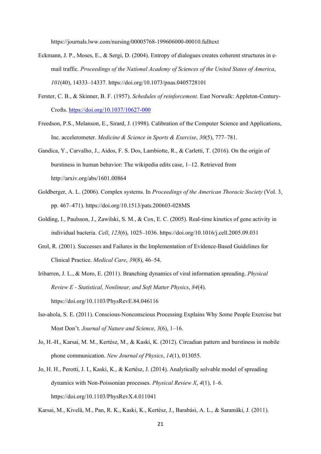https://journals.lww.com/nursing/00005768-199606000-00010.fulltext

- Eckmann, J. P., Moses, E., & Sergi, D. (2004). Entropy of dialogues creates coherent structures in email traffic. *Proceedings of the National Academy of Sciences of the United States of America*, *101*(40), 14333–14337. https://doi.org/10.1073/pnas.0405728101
- Ferster, C. B., & Skinner, B. F. (1957). *Schedules of reinforcement.* East Norwalk: Appleton-Century-Crofts.<https://doi.org/10.1037/10627-000>
- Freedson, P.S., Melanson, E., Sirard, J. (1998). Calibration of the Computer Science and Applications, Inc. accelerometer. *Medicine & Science in Sports & Exercise*, *30*(5), 777–781.
- Gandica, Y., Carvalho, J., Aidos, F. S. Dos, Lambiotte, R., & Carletti, T. (2016). On the origin of burstiness in human behavior: The wikipedia edits case, 1–12. Retrieved from http://arxiv.org/abs/1601.00864
- Goldberger, A. L. (2006). Complex systems. In *Proceedings of the American Thoracic Society* (Vol. 3, pp. 467–471). https://doi.org/10.1513/pats.200603-028MS
- Golding, I., Paulsson, J., Zawilski, S. M., & Cox, E. C. (2005). Real-time kinetics of gene activity in individual bacteria. *Cell*, *123*(6), 1025–1036. https://doi.org/10.1016/j.cell.2005.09.031
- Grol, R. (2001). Successes and Failures in the Implementation of Evidence-Based Guidelines for Clinical Practice. *Medical Care*, *39*(8), 46–54.
- Iribarren, J. L., & Moro, E. (2011). Branching dynamics of viral information spreading. *Physical Review E - Statistical, Nonlinear, and Soft Matter Physics*, *84*(4). https://doi.org/10.1103/PhysRevE.84.046116
- Iso-ahola, S. E. (2011). Conscious-Nonconscious Processing Explains Why Some People Exercise but Most Don't. *Journal of Nature and Science*, *3*(6), 1–16.
- Jo, H.-H., Karsai, M. M., Kertész, M., & Kaski, K. (2012). Circadian pattern and burstiness in mobile phone communication. *New Journal of Physics*, *14*(1), 013055.
- Jo, H. H., Perotti, J. I., Kaski, K., & Kertész, J. (2014). Analytically solvable model of spreading dynamics with Non-Poissonian processes. *Physical Review X*, *4*(1), 1–6. https://doi.org/10.1103/PhysRevX.4.011041

Karsai, M., Kivelä, M., Pan, R. K., Kaski, K., Kertész, J., Barabási, A. L., & Saramäki, J. (2011).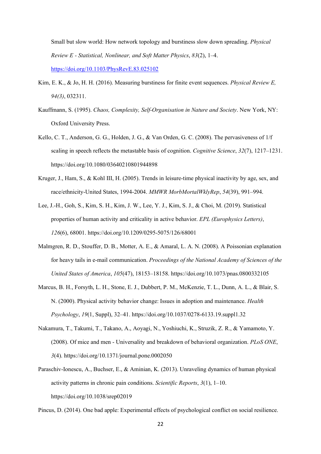Small but slow world: How network topology and burstiness slow down spreading. *Physical Review E - Statistical, Nonlinear, and Soft Matter Physics*, *83*(2), 1–4. <https://doi.org/10.1103/PhysRevE.83.025102>

- Kim, E. K., & Jo, H. H. (2016). Measuring burstiness for finite event sequences. *Physical Review E, 94(3)*, 032311.
- Kauffmann, S. (1995). *Chaos, Complexity, Self-Organisation in Nature and Society*. New York, NY: Oxford University Press.
- Kello, C. T., Anderson, G. G., Holden, J. G., & Van Orden, G. C. (2008). The pervasiveness of 1/f scaling in speech reflects the metastable basis of cognition. *Cognitive Science*, *32*(7), 1217–1231. https://doi.org/10.1080/03640210801944898
- Kruger, J., Ham, S., & Kohl III, H. (2005). Trends in leisure-time physical inactivity by age, sex, and race/ethnicity-United States, 1994-2004. *MMWR MorbMortalWklyRep*, *54*(39), 991–994.
- Lee, J.-H., Goh, S., Kim, S. H., Kim, J. W., Lee, Y. J., Kim, S. J., & Choi, M. (2019). Statistical properties of human activity and criticality in active behavior. *EPL (Europhysics Letters)*, *126*(6), 68001. https://doi.org/10.1209/0295-5075/126/68001
- Malmgren, R. D., Stouffer, D. B., Motter, A. E., & Amaral, L. A. N. (2008). A Poissonian explanation for heavy tails in e-mail communication. *Proceedings of the National Academy of Sciences of the United States of America*, *105*(47), 18153–18158. https://doi.org/10.1073/pnas.0800332105
- Marcus, B. H., Forsyth, L. H., Stone, E. J., Dubbert, P. M., McKenzie, T. L., Dunn, A. L., & Blair, S. N. (2000). Physical activity behavior change: Issues in adoption and maintenance. *Health Psychology*, *19*(1, Suppl), 32–41. https://doi.org/10.1037/0278-6133.19.suppl1.32
- Nakamura, T., Takumi, T., Takano, A., Aoyagi, N., Yoshiuchi, K., Struzik, Z. R., & Yamamoto, Y. (2008). Of mice and men - Universality and breakdown of behavioral organization. *PLoS ONE*, *3*(4). https://doi.org/10.1371/journal.pone.0002050
- Paraschiv-Ionescu, A., Buchser, E., & Aminian, K. (2013). Unraveling dynamics of human physical activity patterns in chronic pain conditions. *Scientific Reports*, *3*(1), 1–10. https://doi.org/10.1038/srep02019

Pincus, D. (2014). One bad apple: Experimental effects of psychological conflict on social resilience.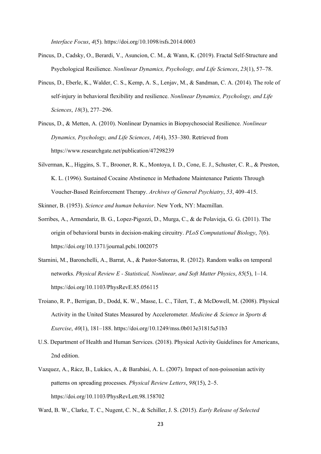*Interface Focus*, *4*(5). https://doi.org/10.1098/rsfs.2014.0003

- Pincus, D., Cadsky, O., Berardi, V., Asuncion, C. M., & Wann, K. (2019). Fractal Self-Structure and Psychological Resilience. *Nonlinear Dynamics, Psychology, and Life Sciences*, *23*(1), 57–78.
- Pincus, D., Eberle, K., Walder, C. S., Kemp, A. S., Lenjav, M., & Sandman, C. A. (2014). The role of self-injury in behavioral flexibility and resilience. *Nonlinear Dynamics, Psychology, and Life Sciences*, *18*(3), 277–296.
- Pincus, D., & Metten, A. (2010). Nonlinear Dynamics in Biopsychosocial Resilience. *Nonlinear Dynamics, Psychology, and Life Sciences*, *14*(4), 353–380. Retrieved from https://www.researchgate.net/publication/47298239
- Silverman, K., Higgins, S. T., Brooner, R. K., Montoya, I. D., Cone, E. J., Schuster, C. R., & Preston, K. L. (1996). Sustained Cocaine Abstinence in Methadone Maintenance Patients Through Voucher-Based Reinforcement Therapy. *Archives of General Psychiatry*, *53*, 409–415.
- Skinner, B. (1953). *Science and human behavior*. New York, NY: Macmillan.
- Sorribes, A., Armendariz, B. G., Lopez-Pigozzi, D., Murga, C., & de Polavieja, G. G. (2011). The origin of behavioral bursts in decision-making circuitry. *PLoS Computational Biology*, *7*(6). https://doi.org/10.1371/journal.pcbi.1002075
- Starnini, M., Baronchelli, A., Barrat, A., & Pastor-Satorras, R. (2012). Random walks on temporal networks. *Physical Review E - Statistical, Nonlinear, and Soft Matter Physics*, *85*(5), 1–14. https://doi.org/10.1103/PhysRevE.85.056115
- Troiano, R. P., Berrigan, D., Dodd, K. W., Masse, L. C., Tilert, T., & McDowell, M. (2008). Physical Activity in the United States Measured by Accelerometer. *Medicine & Science in Sports & Exercise*, *40*(1), 181–188. https://doi.org/10.1249/mss.0b013e31815a51b3
- U.S. Department of Health and Human Services. (2018). Physical Activity Guidelines for Americans, 2nd edition.
- Vazquez, A., Rácz, B., Lukács, A., & Barabási, A. L. (2007). Impact of non-poissonian activity patterns on spreading processes. *Physical Review Letters*, *98*(15), 2–5. https://doi.org/10.1103/PhysRevLett.98.158702

Ward, B. W., Clarke, T. C., Nugent, C. N., & Schiller, J. S. (2015). *Early Release of Selected*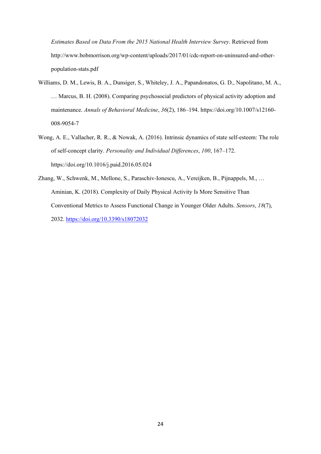*Estimates Based on Data From the 2015 National Health Interview Survey*. Retrieved from http://www.bobmorrison.org/wp-content/uploads/2017/01/cdc-report-on-uninsured-and-otherpopulation-stats.pdf

- Williams, D. M., Lewis, B. A., Dunsiger, S., Whiteley, J. A., Papandonatos, G. D., Napolitano, M. A., … Marcus, B. H. (2008). Comparing psychosocial predictors of physical activity adoption and maintenance. *Annals of Behavioral Medicine*, *36*(2), 186–194. https://doi.org/10.1007/s12160- 008-9054-7
- Wong, A. E., Vallacher, R. R., & Nowak, A. (2016). Intrinsic dynamics of state self-esteem: The role of self-concept clarity. *Personality and Individual Differences*, *100*, 167–172. https://doi.org/10.1016/j.paid.2016.05.024
- Zhang, W., Schwenk, M., Mellone, S., Paraschiv-Ionescu, A., Vereijken, B., Pijnappels, M., … Aminian, K. (2018). Complexity of Daily Physical Activity Is More Sensitive Than Conventional Metrics to Assess Functional Change in Younger Older Adults. *Sensors*, *18*(7), 2032.<https://doi.org/10.3390/s18072032>